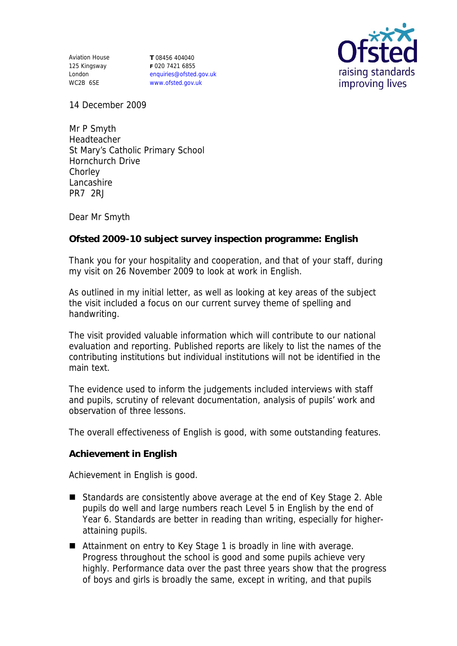Aviation House 125 Kingsway London WC2B 6SE

**T** 08456 404040 **F** 020 7421 6855 enquiries@ofsted.gov.uk www.ofsted.gov.uk



14 December 2009

Mr P Smyth Headteacher St Mary's Catholic Primary School Hornchurch Drive Chorley Lancashire PR7 2RJ

Dear Mr Smyth

**Ofsted 2009-10 subject survey inspection programme: English** 

Thank you for your hospitality and cooperation, and that of your staff, during my visit on 26 November 2009 to look at work in English.

As outlined in my initial letter, as well as looking at key areas of the subject the visit included a focus on our current survey theme of spelling and handwriting.

The visit provided valuable information which will contribute to our national evaluation and reporting. Published reports are likely to list the names of the contributing institutions but individual institutions will not be identified in the main text.

The evidence used to inform the judgements included interviews with staff and pupils, scrutiny of relevant documentation, analysis of pupils' work and observation of three lessons.

The overall effectiveness of English is good, with some outstanding features.

**Achievement in English**

Achievement in English is good.

- Standards are consistently above average at the end of Key Stage 2. Able pupils do well and large numbers reach Level 5 in English by the end of Year 6. Standards are better in reading than writing, especially for higherattaining pupils.
- Attainment on entry to Key Stage 1 is broadly in line with average. Progress throughout the school is good and some pupils achieve very highly. Performance data over the past three years show that the progress of boys and girls is broadly the same, except in writing, and that pupils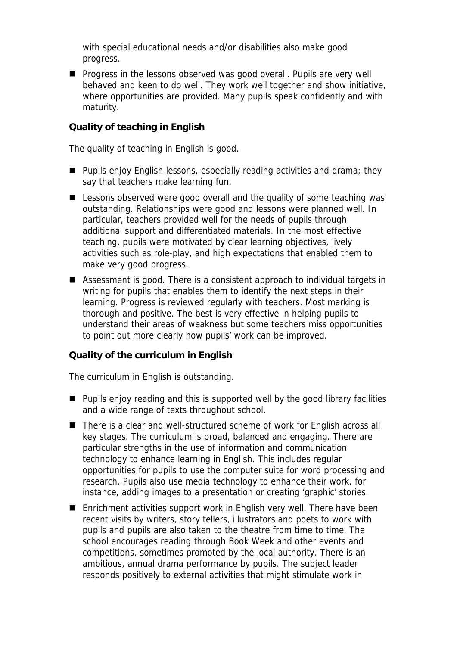with special educational needs and/or disabilities also make good progress.

**Progress in the lessons observed was good overall. Pupils are very well** behaved and keen to do well. They work well together and show initiative, where opportunities are provided. Many pupils speak confidently and with maturity.

## **Quality of teaching in English**

The quality of teaching in English is good.

- **Pupils enjoy English lessons, especially reading activities and drama; they** say that teachers make learning fun.
- Lessons observed were good overall and the quality of some teaching was outstanding. Relationships were good and lessons were planned well. In particular, teachers provided well for the needs of pupils through additional support and differentiated materials. In the most effective teaching, pupils were motivated by clear learning objectives, lively activities such as role-play, and high expectations that enabled them to make very good progress.
- Assessment is good. There is a consistent approach to individual targets in writing for pupils that enables them to identify the next steps in their learning. Progress is reviewed regularly with teachers. Most marking is thorough and positive. The best is very effective in helping pupils to understand their areas of weakness but some teachers miss opportunities to point out more clearly how pupils' work can be improved.

**Quality of the curriculum in English**

The curriculum in English is outstanding.

- **Pupils enjoy reading and this is supported well by the good library facilities** and a wide range of texts throughout school.
- There is a clear and well-structured scheme of work for English across all key stages. The curriculum is broad, balanced and engaging. There are particular strengths in the use of information and communication technology to enhance learning in English. This includes regular opportunities for pupils to use the computer suite for word processing and research. Pupils also use media technology to enhance their work, for instance, adding images to a presentation or creating 'graphic' stories.
- Enrichment activities support work in English very well. There have been recent visits by writers, story tellers, illustrators and poets to work with pupils and pupils are also taken to the theatre from time to time. The school encourages reading through Book Week and other events and competitions, sometimes promoted by the local authority. There is an ambitious, annual drama performance by pupils. The subject leader responds positively to external activities that might stimulate work in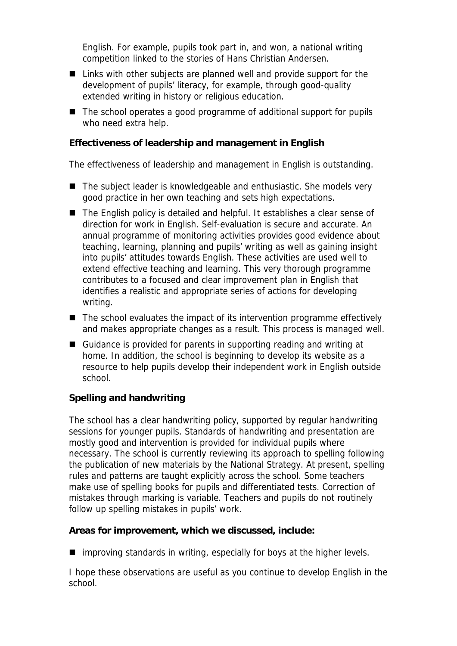English. For example, pupils took part in, and won, a national writing competition linked to the stories of Hans Christian Andersen.

- Links with other subjects are planned well and provide support for the development of pupils' literacy, for example, through good-quality extended writing in history or religious education.
- The school operates a good programme of additional support for pupils who need extra help.

**Effectiveness of leadership and management in English**

The effectiveness of leadership and management in English is outstanding.

- The subject leader is knowledgeable and enthusiastic. She models very good practice in her own teaching and sets high expectations.
- The English policy is detailed and helpful. It establishes a clear sense of direction for work in English. Self-evaluation is secure and accurate. An annual programme of monitoring activities provides good evidence about teaching, learning, planning and pupils' writing as well as gaining insight into pupils' attitudes towards English. These activities are used well to extend effective teaching and learning. This very thorough programme contributes to a focused and clear improvement plan in English that identifies a realistic and appropriate series of actions for developing writing.
- The school evaluates the impact of its intervention programme effectively and makes appropriate changes as a result. This process is managed well.
- Guidance is provided for parents in supporting reading and writing at home. In addition, the school is beginning to develop its website as a resource to help pupils develop their independent work in English outside school.

## **Spelling and handwriting**

The school has a clear handwriting policy, supported by regular handwriting sessions for younger pupils. Standards of handwriting and presentation are mostly good and intervention is provided for individual pupils where necessary. The school is currently reviewing its approach to spelling following the publication of new materials by the National Strategy. At present, spelling rules and patterns are taught explicitly across the school. Some teachers make use of spelling books for pupils and differentiated tests. Correction of mistakes through marking is variable. Teachers and pupils do not routinely follow up spelling mistakes in pupils' work.

**Areas for improvement, which we discussed, include:**

 $\blacksquare$  improving standards in writing, especially for boys at the higher levels.

I hope these observations are useful as you continue to develop English in the school.